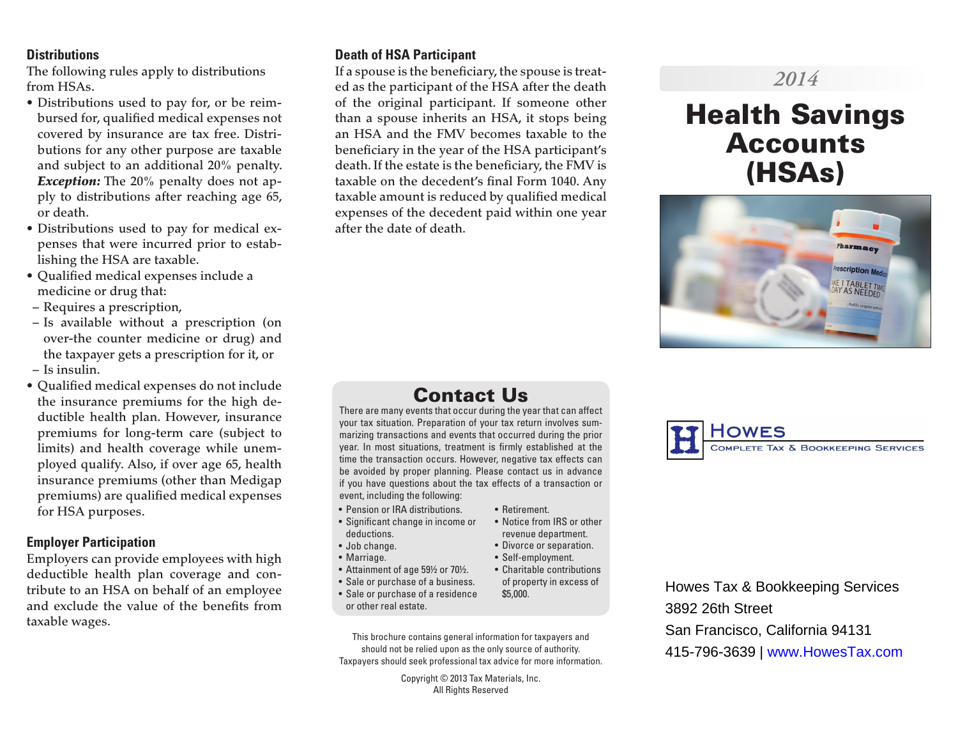#### **Distributions**

The following rules apply to distributions from HSAs.

- Distributions used to pay for, or be reimbursed for, qualified medical expenses not covered by insurance are tax free. Distributions for any other purpose are taxable and subject to an additional 20% penalty. *Exception:* The 20% penalty does not apply to distributions after reaching age 65, or death.
- Distributions used to pay for medical expenses that were incurred prior to establishing the HSA are taxable.
- Qualified medical expenses include a medicine or drug that:
- Requires a prescription,
- Is available without a prescription (on over-the counter medicine or drug) and the taxpayer gets a prescription for it, or – Is insulin.
- Qualified medical expenses do not include the insurance premiums for the high deductible health plan. However, insurance premiums for long-term care (subject to limits) and health coverage while unemployed qualify. Also, if over age 65, health insurance premiums (other than Medigap premiums) are qualified medical expenses for HSA purposes.

#### **Employer Participation**

Employers can provide employees with high deductible health plan coverage and contribute to an HSA on behalf of an employee and exclude the value of the benefits from taxable wages.

#### **Death of HSA Participant**

If a spouse is the beneficiary, the spouse is treated as the participant of the HSA after the death of the original participant. If someone other than a spouse inherits an HSA, it stops being an HSA and the FMV becomes taxable to the beneficiary in the year of the HSA participant's death. If the estate is the beneficiary, the FMV is taxable on the decedent's final Form 1040. Any taxable amount is reduced by qualified medical expenses of the decedent paid within one year after the date of death.

## Contact Us

There are many events that occur during the year that can affect your tax situation. Preparation of your tax return involves summarizing transactions and events that occurred during the prior year. In most situations, treatment is firmly established at the time the transaction occurs. However, negative tax effects can be avoided by proper planning. Please contact us in advance if you have questions about the tax effects of a transaction or event, including the following:

- Pension or IRA distributions.
- Significant change in income or deductions.
- Job change.
- Marriage.
- Attainment of age 59½ or 70½.
- Sale or purchase of a business.
- Sale or purchase of a residence or other real estate.

This brochure contains general information for taxpayers and should not be relied upon as the only source of authority. Taxpayers should seek professional tax advice for more information.

> Copyright © 2013 Tax Materials, Inc. All Rights Reserved

#### • Retirement. • Notice from IRS or other

- revenue department.
- Divorce or separation.
- Self-employment. • Charitable contributions
	- of property in excess of \$5,000.

Howes Tax & Bookkeeping Services 3892 26th Street San Francisco, California 94131 415-796-3639 | www.HowesTax.com

## *2014*

# Health Savings Accounts (HSAs)